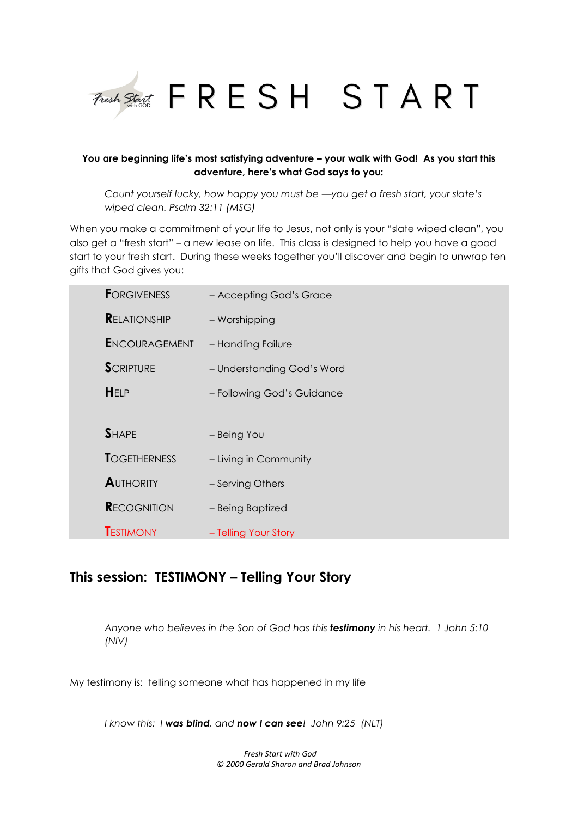

## **You are beginning life's most satisfying adventure – your walk with God! As you start this adventure, here's what God says to you:**

*Count yourself lucky, how happy you must be —you get a fresh start, your slate's wiped clean. Psalm 32:11 (MSG)*

When you make a commitment of your life to Jesus, not only is your "slate wiped clean", you also get a "fresh start" – a new lease on life. This class is designed to help you have a good start to your fresh start. During these weeks together you'll discover and begin to unwrap ten gifts that God gives you:

| <b>FORGIVENESS</b>   | - Accepting God's Grace    |
|----------------------|----------------------------|
| <b>RELATIONSHIP</b>  | - Worshipping              |
| <b>ENCOURAGEMENT</b> | - Handling Failure         |
| <b>SCRIPTURE</b>     | - Understanding God's Word |
| <b>HELP</b>          | - Following God's Guidance |
|                      |                            |
| <b>SHAPE</b>         | - Being You                |
| <b>TOGETHERNESS</b>  | - Living in Community      |
| <b>AUTHORITY</b>     | - Serving Others           |
| <b>RECOGNITION</b>   | - Being Baptized           |
| <b>TESTIMONY</b>     | - Telling Your Story       |

# **This session: TESTIMONY – Telling Your Story**

*Anyone who believes in the Son of God has this testimony in his heart. 1 John 5:10 (NIV)*

My testimony is: telling someone what has happened in my life

*I know this: I was blind, and now I can see! John 9:25 (NLT)*

*Fresh Start with God © 2000 Gerald Sharon and Brad Johnson*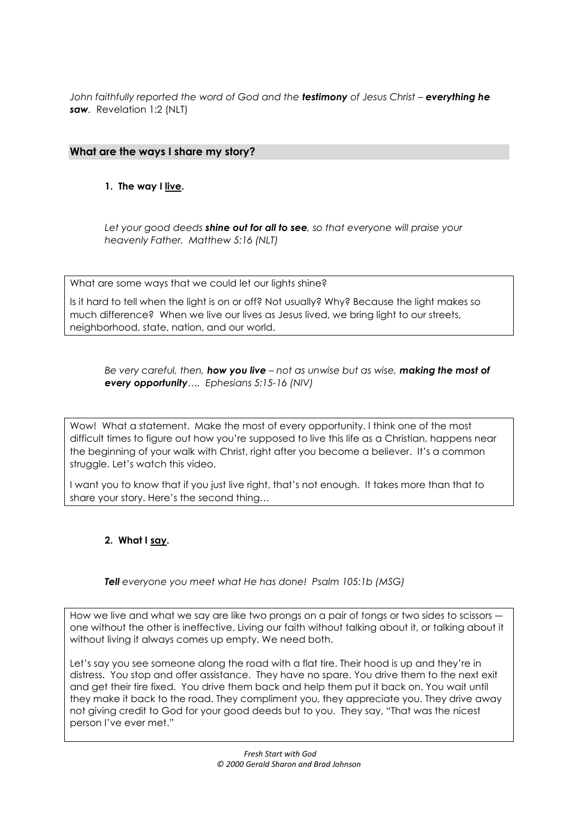*John faithfully reported the word of God and the <i>testimony* of Jesus Christ - everything he *saw.* Revelation 1:2 (NLT)

# **What are the ways I share my story?**

## **1. The way I live.**

*Let your good deeds shine out for all to see, so that everyone will praise your heavenly Father. Matthew 5:16 (NLT)*

What are some ways that we could let our lights shine?

Is it hard to tell when the light is on or off? Not usually? Why? Because the light makes so much difference? When we live our lives as Jesus lived, we bring light to our streets, neighborhood, state, nation, and our world.

*Be very careful, then, how you live – not as unwise but as wise, making the most of every opportunity…. Ephesians 5:15-16 (NIV)*

Wow! What a statement. Make the most of every opportunity. I think one of the most difficult times to figure out how you're supposed to live this life as a Christian, happens near the beginning of your walk with Christ, right after you become a believer. It's a common struggle. Let's watch this video.

I want you to know that if you just live right, that's not enough. It takes more than that to share your story. Here's the second thing…

# **2. What I say.**

**Tell** everyone you meet what He has done! Psalm 105:1b (MSG)

How we live and what we say are like two prongs on a pair of tongs or two sides to scissors ― one without the other is ineffective. Living our faith without talking about it, or talking about it without living it always comes up empty. We need both.

Let's say you see someone along the road with a flat tire. Their hood is up and they're in distress. You stop and offer assistance. They have no spare. You drive them to the next exit and get their tire fixed. You drive them back and help them put it back on. You wait until they make it back to the road. They compliment you, they appreciate you. They drive away not giving credit to God for your good deeds but to you. They say, "That was the nicest person I've ever met."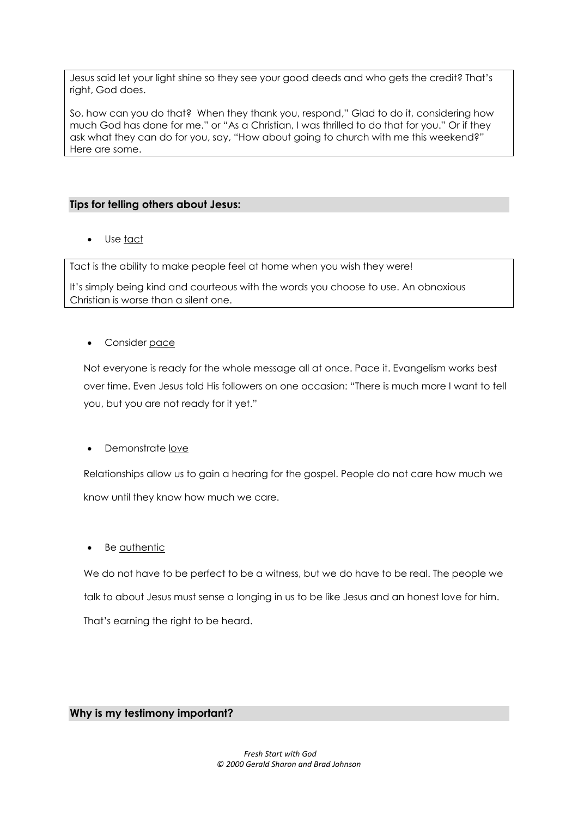Jesus said let your light shine so they see your good deeds and who gets the credit? That's right, God does.

So, how can you do that? When they thank you, respond," Glad to do it, considering how much God has done for me." or "As a Christian, I was thrilled to do that for you." Or if they ask what they can do for you, say, "How about going to church with me this weekend?" Here are some.

## **Tips for telling others about Jesus:**

Use tact

Tact is the ability to make people feel at home when you wish they were!

It's simply being kind and courteous with the words you choose to use. An obnoxious Christian is worse than a silent one.

## Consider pace

Not everyone is ready for the whole message all at once. Pace it. Evangelism works best over time. Even Jesus told His followers on one occasion: "There is much more I want to tell you, but you are not ready for it yet."

Demonstrate <u>love</u>

Relationships allow us to gain a hearing for the gospel. People do not care how much we know until they know how much we care.

Be authentic

We do not have to be perfect to be a witness, but we do have to be real. The people we talk to about Jesus must sense a longing in us to be like Jesus and an honest love for him. That's earning the right to be heard.

## **Why is my testimony important?**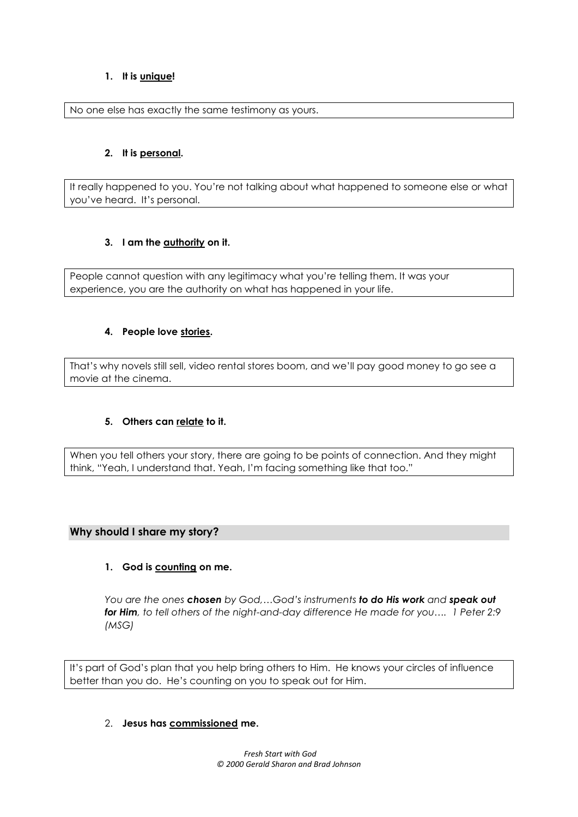## **1. It is unique!**

No one else has exactly the same testimony as yours.

## **2. It is personal.**

It really happened to you. You're not talking about what happened to someone else or what you've heard. It's personal.

## **3. I am the authority on it.**

People cannot question with any legitimacy what you're telling them. It was your experience, you are the authority on what has happened in your life.

## **4. People love stories.**

That's why novels still sell, video rental stores boom, and we'll pay good money to go see a movie at the cinema.

## **5. Others can relate to it.**

When you tell others your story, there are going to be points of connection. And they might think, "Yeah, I understand that. Yeah, I'm facing something like that too."

## **Why should I share my story?**

## **1. God is counting on me.**

*You are the ones chosen by God,…God's instruments to do His work and speak out*  **for Him**, to tell others of the night-and-day difference He made for you.... 1 Peter 2:9 *(MSG)*

It's part of God's plan that you help bring others to Him. He knows your circles of influence better than you do. He's counting on you to speak out for Him.

## 2. **Jesus has commissioned me.**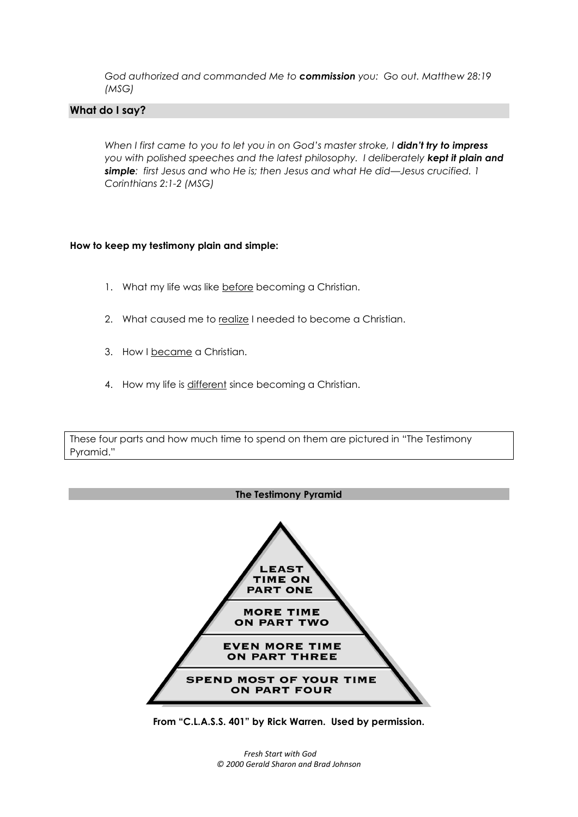*God authorized and commanded Me to commission you: Go out. Matthew 28:19 (MSG)*

#### **What do I say?**

*When I first came to you to let you in on God's master stroke, I didn't try to impress you with polished speeches and the latest philosophy. I deliberately kept it plain and simple: first Jesus and who He is; then Jesus and what He did—Jesus crucified. 1 Corinthians 2:1-2 (MSG)*

#### **How to keep my testimony plain and simple:**

- 1. What my life was like before becoming a Christian.
- 2. What caused me to realize I needed to become a Christian.
- 3. How I became a Christian.
- 4. How my life is different since becoming a Christian.

These four parts and how much time to spend on them are pictured in "The Testimony Pyramid."



**From "C.L.A.S.S. 401" by Rick Warren. Used by permission.**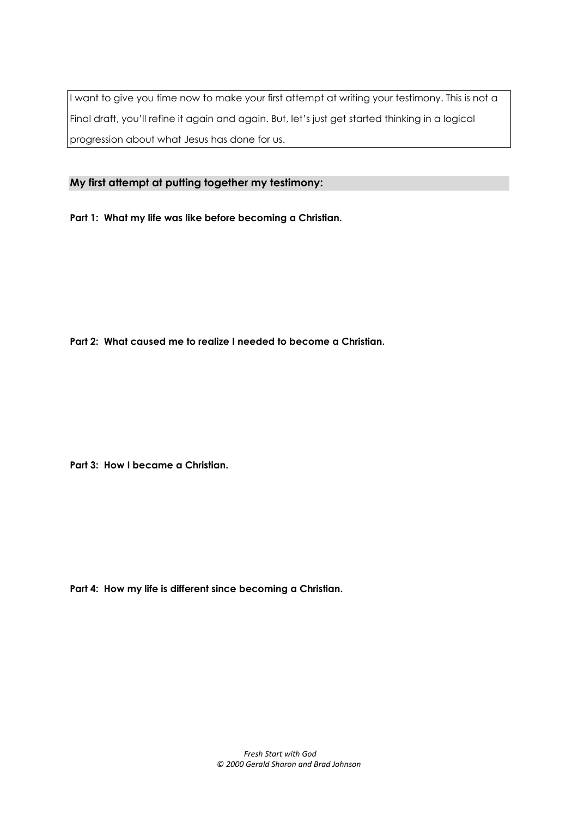I want to give you time now to make your first attempt at writing your testimony. This is not a Final draft, you'll refine it again and again. But, let's just get started thinking in a logical progression about what Jesus has done for us.

**My first attempt at putting together my testimony:**

**Part 1: What my life was like before becoming a Christian.**

**Part 2: What caused me to realize I needed to become a Christian.**

**Part 3: How I became a Christian.**

**Part 4: How my life is different since becoming a Christian.**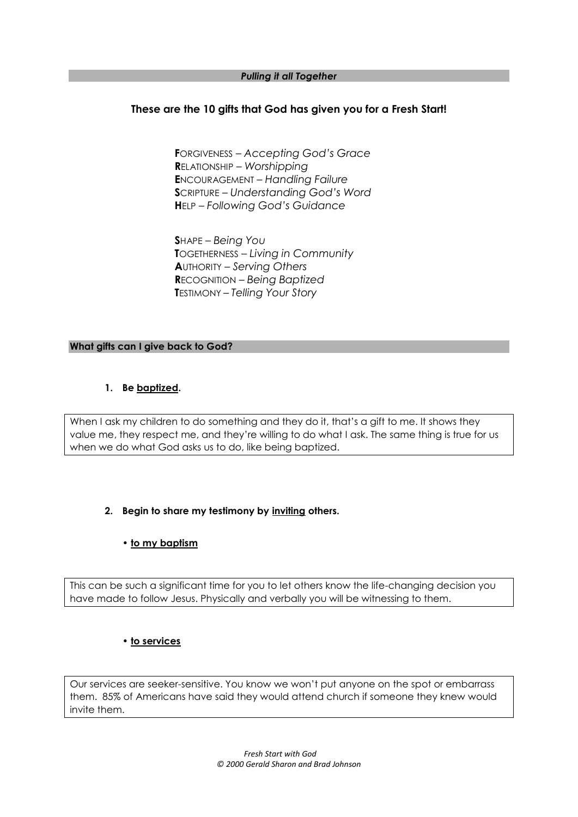#### *Pulling it all Together*

## **These are the 10 gifts that God has given you for a Fresh Start!**

**F**ORGIVENESS *– Accepting God's Grace* **R**ELATIONSHIP *– Worshipping* **E**NCOURAGEMENT *– Handling Failure* **S**CRIPTURE *– Understanding God's Word* **H**ELP *– Following God's Guidance*

**S**HAPE *– Being You* **T**OGETHERNESS *– Living in Community* **A**UTHORITY *– Serving Others* **R**ECOGNITION – *Being Baptized* **T**ESTIMONY – *Telling Your Story*

#### **What gifts can I give back to God?**

#### **1. Be baptized.**

When I ask my children to do something and they do it, that's a gift to me. It shows they value me, they respect me, and they're willing to do what I ask. The same thing is true for us when we do what God asks us to do, like being baptized.

## **2. Begin to share my testimony by inviting others.**

## **• to my baptism**

This can be such a significant time for you to let others know the life-changing decision you have made to follow Jesus. Physically and verbally you will be witnessing to them.

#### **• to services**

Our services are seeker-sensitive. You know we won't put anyone on the spot or embarrass them. 85% of Americans have said they would attend church if someone they knew would invite them.

> *Fresh Start with God © 2000 Gerald Sharon and Brad Johnson*